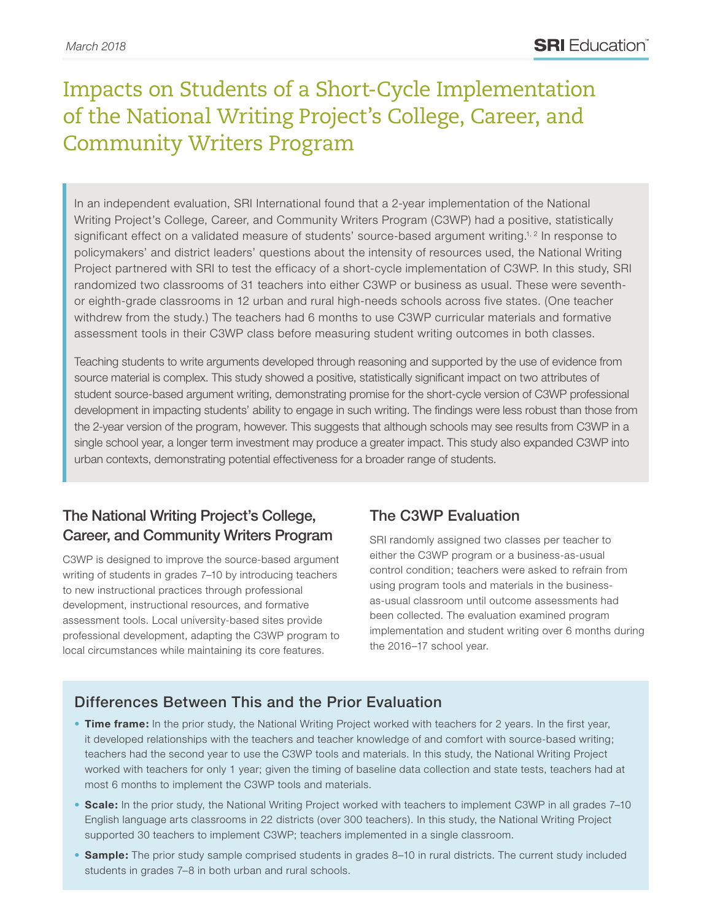# Impacts on Students of a Short-Cycle Implementation of the National Writing Project's College, Career, and Community Writers Program

In an independent evaluation, SRI International found that a 2-year implementation of the National Writing Project's College, Career, and Community Writers Program (C3WP) had a positive, statistically significant effect on a validated measure of students' source-based argument writing.<sup>1, 2</sup> In response to policymakers' and district leaders' questions about the intensity of resources used, the National Writing Project partnered with SRI to test the efficacy of a short-cycle implementation of C3WP. In this study, SRI randomized two classrooms of 31 teachers into either C3WP or business as usual. These were seventhor eighth-grade classrooms in 12 urban and rural high-needs schools across five states. (One teacher withdrew from the study.) The teachers had 6 months to use C3WP curricular materials and formative assessment tools in their C3WP class before measuring student writing outcomes in both classes.

Teaching students to write arguments developed through reasoning and supported by the use of evidence from source material is complex. This study showed a positive, statistically significant impact on two attributes of student source-based argument writing, demonstrating promise for the short-cycle version of C3WP professional development in impacting students' ability to engage in such writing. The findings were less robust than those from the 2-year version of the program, however. This suggests that although schools may see results from C3WP in a single school year, a longer term investment may produce a greater impact. This study also expanded C3WP into urban contexts, demonstrating potential effectiveness for a broader range of students.

## The National Writing Project's College, Career, and Community Writers Program

C3WP is designed to improve the source-based argument writing of students in grades 7–10 by introducing teachers to new instructional practices through professional development, instructional resources, and formative assessment tools. Local university-based sites provide professional development, adapting the C3WP program to local circumstances while maintaining its core features.

## The C3WP Evaluation

SRI randomly assigned two classes per teacher to either the C3WP program or a business-as-usual control condition; teachers were asked to refrain from using program tools and materials in the businessas-usual classroom until outcome assessments had been collected. The evaluation examined program implementation and student writing over 6 months during the 2016–17 school year.

## Differences Between This and the Prior Evaluation

- **Time frame:** In the prior study, the National Writing Project worked with teachers for 2 years. In the first year, it developed relationships with the teachers and teacher knowledge of and comfort with source-based writing; teachers had the second year to use the C3WP tools and materials. In this study, the National Writing Project worked with teachers for only 1 year; given the timing of baseline data collection and state tests, teachers had at most 6 months to implement the C3WP tools and materials.
- **Scale:** In the prior study, the National Writing Project worked with teachers to implement C3WP in all grades 7–10 English language arts classrooms in 22 districts (over 300 teachers). In this study, the National Writing Project supported 30 teachers to implement C3WP; teachers implemented in a single classroom.
- **Sample:** The prior study sample comprised students in grades 8–10 in rural districts. The current study included students in grades 7–8 in both urban and rural schools.